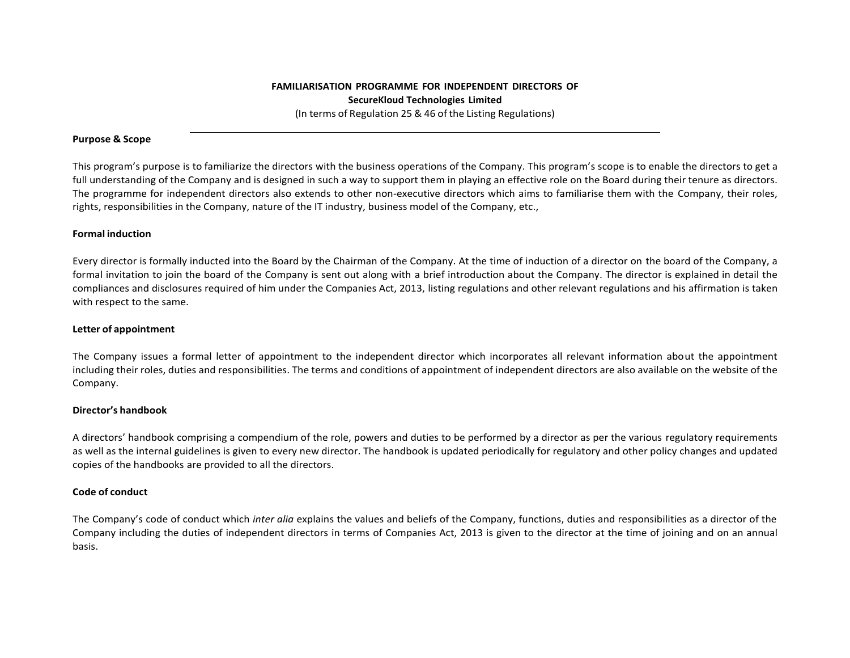## **Purpose & Scope**

This program's purpose is to familiarize the directors with the business operations of the Company. This program's scope is to enable the directors to get a full understanding of the Company and is designed in such a way to support them in playing an effective role on the Board during their tenure as directors. The programme for independent directors also extends to other non‐executive directors which aims to familiarise them with the Company, their roles, rights, responsibilities in the Company, nature of the IT industry, business model of the Company, etc.,

# **Formal induction**

Every director is formally inducted into the Board by the Chairman of the Company. At the time of induction of a director on the board of the Company, a formal invitation to join the board of the Company is sent out along with a brief introduction about the Company. The director is explained in detail the compliances and disclosures required of him under the Companies Act, 2013, listing regulations and other relevant regulations and his affirmation is taken with respect to the same.

#### **Letter of appointment**

The Company issues a formal letter of appointment to the independent director which incorporates all relevant information about the appointment including their roles, duties and responsibilities. The terms and conditions of appointment of independent directors are also available on the website of the Company.

## **Director's handbook**

A directors' handbook comprising a compendium of the role, powers and duties to be performed by a director as per the various regulatory requirements as well as the internal guidelines is given to every new director. The handbook is updated periodically for regulatory and other policy changes and updated copies of the handbooks are provided to all the directors.

## **Code of conduct**

The Company's code of conduct which *inter alia* explains the values and beliefs of the Company, functions, duties and responsibilities as a director of the Company including the duties of independent directors in terms of Companies Act, 2013 is given to the director at the time of joining and on an annual basis.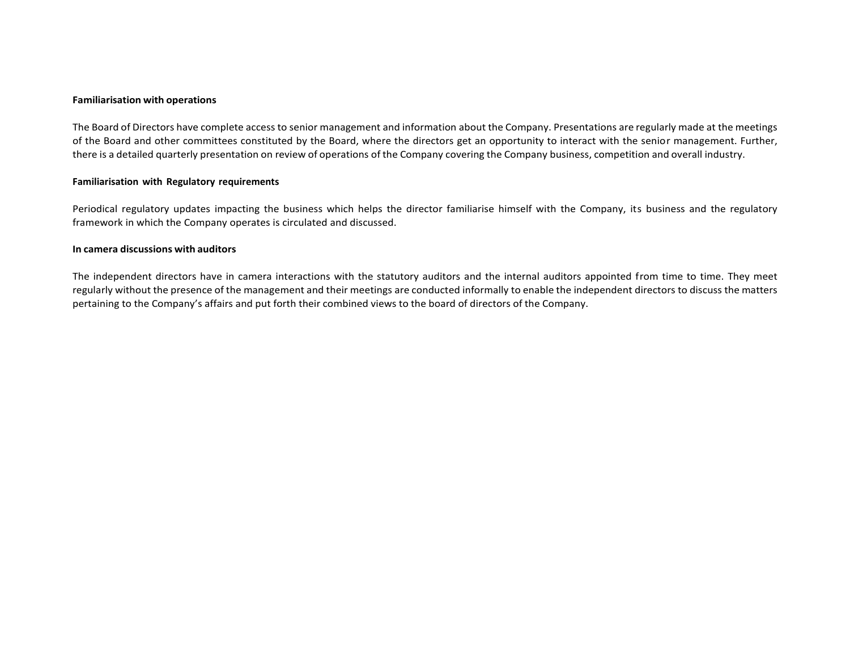#### **Familiarisation with operations**

The Board of Directors have complete access to senior management and information about the Company. Presentations are regularly made at the meetings of the Board and other committees constituted by the Board, where the directors get an opportunity to interact with the senior management. Further, there is a detailed quarterly presentation on review of operations of the Company covering the Company business, competition and overall industry.

#### **Familiarisation with Regulatory requirements**

Periodical regulatory updates impacting the business which helps the director familiarise himself with the Company, its business and the regulatory framework in which the Company operates is circulated and discussed.

# **In camera discussions with auditors**

The independent directors have in camera interactions with the statutory auditors and the internal auditors appointed from time to time. They meet regularly without the presence of the management and their meetings are conducted informally to enable the independent directors to discuss the matters pertaining to the Company's affairs and put forth their combined views to the board of directors of the Company.